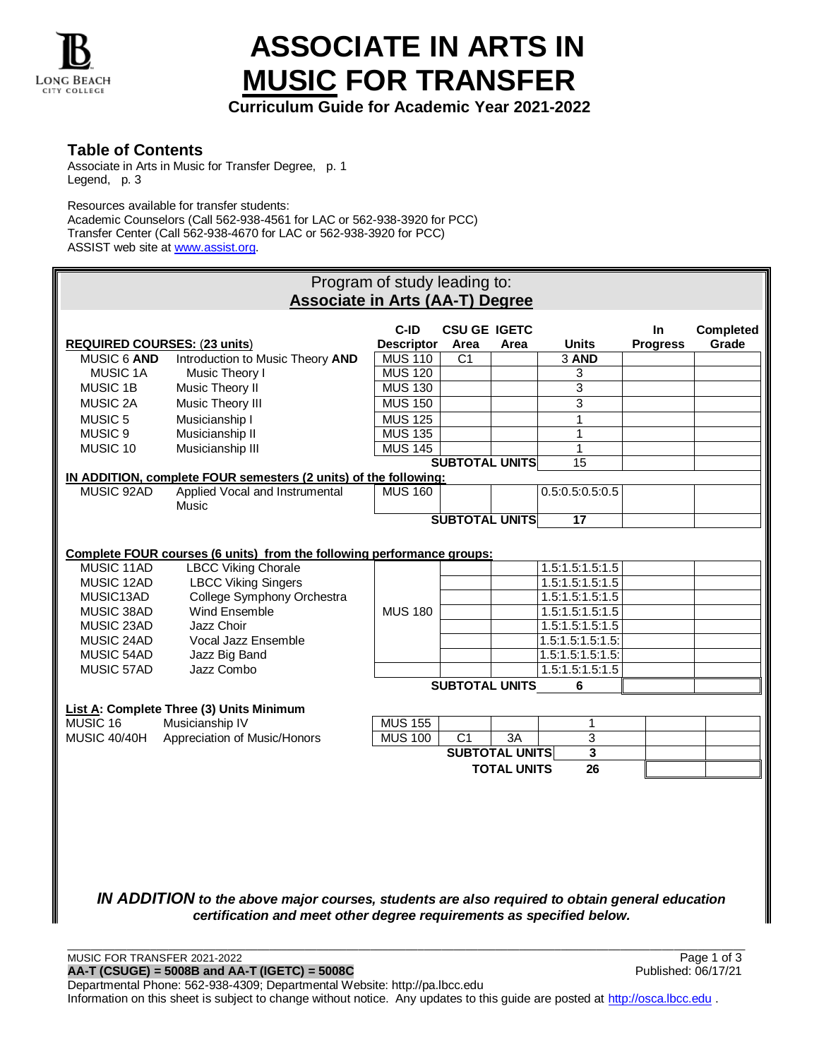

## **ASSOCIATE IN ARTS IN MUSIC FOR TRANSFER**

**Curriculum Guide for Academic Year 2021-2022**

**Table of Contents**

Associate in Arts in Music for Transfer Degree, p. 1 Legend, p. 3

Resources available for transfer students: Academic Counselors (Call 562-938-4561 for LAC or 562-938-3920 for PCC) Transfer Center (Call 562-938-4670 for LAC or 562-938-3920 for PCC) ASSIST web site a[t www.assist.org.](http://www.assist.org/)

| Program of study leading to:<br><b>Associate in Arts (AA-T) Degree</b>                                                                                                 |                                                                        |                   |                       |                       |                  |                 |           |  |
|------------------------------------------------------------------------------------------------------------------------------------------------------------------------|------------------------------------------------------------------------|-------------------|-----------------------|-----------------------|------------------|-----------------|-----------|--|
|                                                                                                                                                                        |                                                                        |                   |                       |                       |                  |                 |           |  |
|                                                                                                                                                                        |                                                                        | C-ID              | <b>CSU GE IGETC</b>   |                       |                  | <b>In</b>       | Completed |  |
| <b>REQUIRED COURSES: (23 units)</b>                                                                                                                                    |                                                                        | <b>Descriptor</b> | Area                  | Area                  | <b>Units</b>     | <b>Progress</b> | Grade     |  |
| MUSIC 6 AND                                                                                                                                                            | Introduction to Music Theory AND                                       | <b>MUS 110</b>    | C1                    |                       | 3 AND            |                 |           |  |
| <b>MUSIC 1A</b>                                                                                                                                                        | Music Theory I                                                         | <b>MUS 120</b>    |                       |                       | 3                |                 |           |  |
| <b>MUSIC 1B</b>                                                                                                                                                        | Music Theory II                                                        | <b>MUS 130</b>    |                       |                       | 3                |                 |           |  |
| <b>MUSIC 2A</b>                                                                                                                                                        | Music Theory III                                                       | <b>MUS 150</b>    |                       |                       | 3                |                 |           |  |
| MUSIC <sub>5</sub>                                                                                                                                                     | Musicianship I                                                         | <b>MUS 125</b>    |                       |                       | $\mathbf{1}$     |                 |           |  |
| MUSIC <sub>9</sub>                                                                                                                                                     | Musicianship II                                                        | <b>MUS 135</b>    |                       |                       | $\mathbf{1}$     |                 |           |  |
| MUSIC 10                                                                                                                                                               | Musicianship III                                                       | <b>MUS 145</b>    |                       |                       | $\mathbf{1}$     |                 |           |  |
|                                                                                                                                                                        |                                                                        |                   | <b>SUBTOTAL UNITS</b> |                       | 15               |                 |           |  |
|                                                                                                                                                                        | IN ADDITION, complete FOUR semesters (2 units) of the following:       |                   |                       |                       |                  |                 |           |  |
| MUSIC 92AD                                                                                                                                                             | Applied Vocal and Instrumental<br>Music                                | <b>MUS 160</b>    |                       |                       | 0.5:0.5:0.5:0.5  |                 |           |  |
|                                                                                                                                                                        |                                                                        |                   | <b>SUBTOTAL UNITS</b> |                       | $\overline{17}$  |                 |           |  |
|                                                                                                                                                                        |                                                                        |                   |                       |                       |                  |                 |           |  |
|                                                                                                                                                                        | Complete FOUR courses (6 units) from the following performance groups: |                   |                       |                       |                  |                 |           |  |
| MUSIC 11AD                                                                                                                                                             | <b>LBCC Viking Chorale</b>                                             |                   |                       |                       | 1.5:1.5:1.5:1.5  |                 |           |  |
| MUSIC 12AD                                                                                                                                                             | <b>LBCC Viking Singers</b>                                             |                   |                       |                       | 1.5:1.5:1.5:1.5  |                 |           |  |
| MUSIC13AD                                                                                                                                                              | College Symphony Orchestra                                             |                   |                       |                       | 1.5:1.5:1.5:1.5  |                 |           |  |
| MUSIC 38AD                                                                                                                                                             | Wind Ensemble                                                          | <b>MUS 180</b>    |                       |                       | 1.5:1.5:1.5:1.5  |                 |           |  |
| MUSIC 23AD                                                                                                                                                             | Jazz Choir                                                             |                   |                       |                       | 1.5:1.5:1.5:1.5  |                 |           |  |
| MUSIC 24AD                                                                                                                                                             | Vocal Jazz Ensemble                                                    |                   |                       |                       | 1.5:1.5:1.5:1.5  |                 |           |  |
| MUSIC 54AD                                                                                                                                                             | Jazz Big Band                                                          |                   |                       |                       | 1.5:1.5:1.5:1.5: |                 |           |  |
| MUSIC 57AD                                                                                                                                                             | Jazz Combo                                                             |                   |                       |                       | 1.5:1.5:1.5:1.5  |                 |           |  |
|                                                                                                                                                                        |                                                                        |                   | <b>SUBTOTAL UNITS</b> |                       | 6                |                 |           |  |
|                                                                                                                                                                        |                                                                        |                   |                       |                       |                  |                 |           |  |
|                                                                                                                                                                        | List A: Complete Three (3) Units Minimum                               |                   |                       |                       |                  |                 |           |  |
| MUSIC 16                                                                                                                                                               | Musicianship IV                                                        | <b>MUS 155</b>    |                       |                       | 1                |                 |           |  |
| <b>MUSIC 40/40H</b>                                                                                                                                                    | Appreciation of Music/Honors                                           | <b>MUS 100</b>    | $\overline{C1}$       | 3A                    | 3                |                 |           |  |
|                                                                                                                                                                        |                                                                        |                   |                       | <b>SUBTOTAL UNITS</b> | 3                |                 |           |  |
| <b>TOTAL UNITS</b><br>26                                                                                                                                               |                                                                        |                   |                       |                       |                  |                 |           |  |
|                                                                                                                                                                        |                                                                        |                   |                       |                       |                  |                 |           |  |
|                                                                                                                                                                        |                                                                        |                   |                       |                       |                  |                 |           |  |
|                                                                                                                                                                        |                                                                        |                   |                       |                       |                  |                 |           |  |
|                                                                                                                                                                        |                                                                        |                   |                       |                       |                  |                 |           |  |
|                                                                                                                                                                        |                                                                        |                   |                       |                       |                  |                 |           |  |
|                                                                                                                                                                        |                                                                        |                   |                       |                       |                  |                 |           |  |
|                                                                                                                                                                        |                                                                        |                   |                       |                       |                  |                 |           |  |
|                                                                                                                                                                        |                                                                        |                   |                       |                       |                  |                 |           |  |
| IN ADDITION to the above major courses, students are also required to obtain general education<br>certification and meet other degree requirements as specified below. |                                                                        |                   |                       |                       |                  |                 |           |  |
|                                                                                                                                                                        |                                                                        |                   |                       |                       |                  |                 |           |  |

MUSIC FOR TRANSFER 2021-2022<br> **AA-T (CSUGE) = 5008B and AA-T (IGETC) = 5008C**<br>
Published: 06/17/21 **AA-T (CSUGE) = 5008B and AA-T (IGETC) = 5008C** Published: 06/17/21 Departmental Phone: 562-938-4309; Departmental Website: http://pa.lbcc.edu Information on this sheet is subject to change without notice. Any updates to this guide are posted at [http://osca.lbcc.edu](http://osca.lbcc.edu/) .

\_\_\_\_\_\_\_\_\_\_\_\_\_\_\_\_\_\_\_\_\_\_\_\_\_\_\_\_\_\_\_\_\_\_\_\_\_\_\_\_\_\_\_\_\_\_\_\_\_\_\_\_\_\_\_\_\_\_\_\_\_\_\_\_\_\_\_\_\_\_\_\_\_\_\_\_\_\_\_\_\_\_\_\_\_\_\_\_\_\_\_\_\_\_\_\_\_\_\_\_\_\_\_\_\_\_\_\_\_\_\_\_\_\_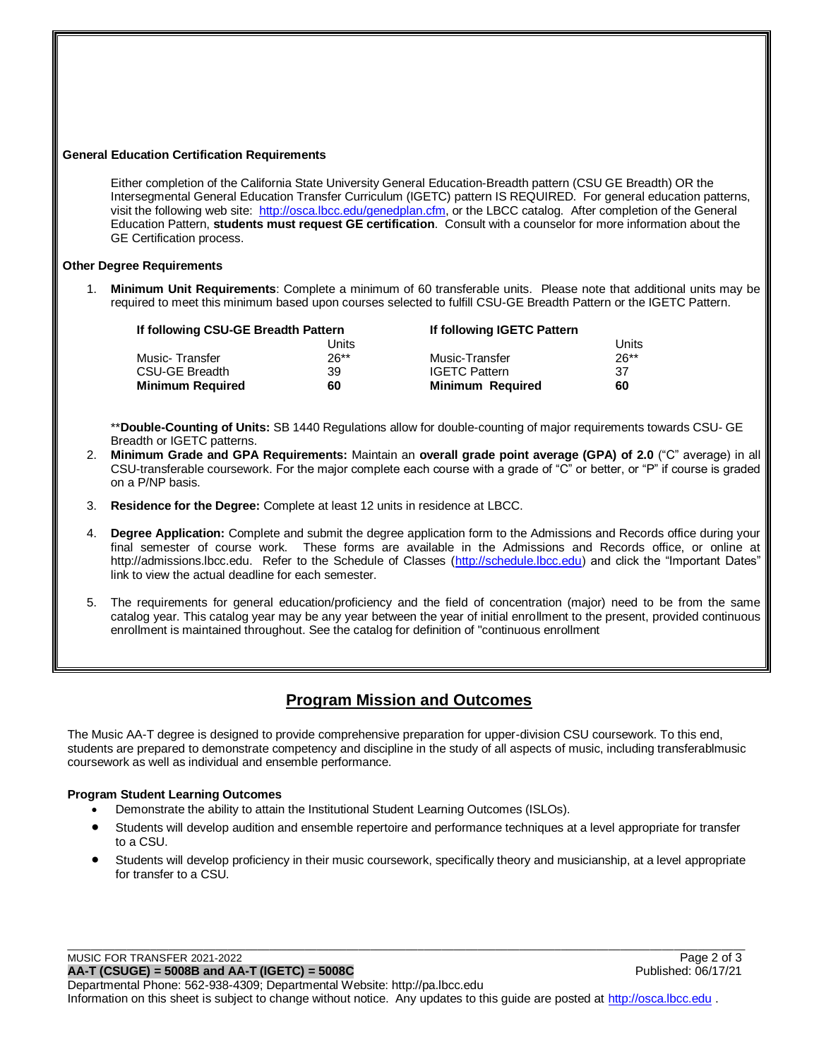| <b>General Education Certification Requirements</b>                                                                                                                                                                                                                                                                                                                                                                                                                                                              |                                                                                                                                                                                                                                                                                                                                                                                                                       |              |                                                 |              |  |  |  |  |
|------------------------------------------------------------------------------------------------------------------------------------------------------------------------------------------------------------------------------------------------------------------------------------------------------------------------------------------------------------------------------------------------------------------------------------------------------------------------------------------------------------------|-----------------------------------------------------------------------------------------------------------------------------------------------------------------------------------------------------------------------------------------------------------------------------------------------------------------------------------------------------------------------------------------------------------------------|--------------|-------------------------------------------------|--------------|--|--|--|--|
| Either completion of the California State University General Education-Breadth pattern (CSU GE Breadth) OR the<br>Intersegmental General Education Transfer Curriculum (IGETC) pattern IS REQUIRED. For general education patterns,<br>visit the following web site: http://osca.lbcc.edu/genedplan.cfm, or the LBCC catalog. After completion of the General<br>Education Pattern, students must request GE certification. Consult with a counselor for more information about the<br>GE Certification process. |                                                                                                                                                                                                                                                                                                                                                                                                                       |              |                                                 |              |  |  |  |  |
| <b>Other Degree Requirements</b>                                                                                                                                                                                                                                                                                                                                                                                                                                                                                 |                                                                                                                                                                                                                                                                                                                                                                                                                       |              |                                                 |              |  |  |  |  |
|                                                                                                                                                                                                                                                                                                                                                                                                                                                                                                                  | 1. Minimum Unit Requirements: Complete a minimum of 60 transferable units. Please note that additional units may be<br>required to meet this minimum based upon courses selected to fulfill CSU-GE Breadth Pattern or the IGETC Pattern.                                                                                                                                                                              |              |                                                 |              |  |  |  |  |
|                                                                                                                                                                                                                                                                                                                                                                                                                                                                                                                  | If following CSU-GE Breadth Pattern                                                                                                                                                                                                                                                                                                                                                                                   | <b>Units</b> | If following IGETC Pattern                      | <b>Units</b> |  |  |  |  |
|                                                                                                                                                                                                                                                                                                                                                                                                                                                                                                                  | Music-Transfer                                                                                                                                                                                                                                                                                                                                                                                                        | $26***$      | Music-Transfer                                  | $26**$       |  |  |  |  |
|                                                                                                                                                                                                                                                                                                                                                                                                                                                                                                                  | <b>CSU-GE Breadth</b><br><b>Minimum Required</b>                                                                                                                                                                                                                                                                                                                                                                      | 39<br>60     | <b>IGETC Pattern</b><br><b>Minimum Required</b> | 37<br>60     |  |  |  |  |
|                                                                                                                                                                                                                                                                                                                                                                                                                                                                                                                  |                                                                                                                                                                                                                                                                                                                                                                                                                       |              |                                                 |              |  |  |  |  |
| **Double-Counting of Units: SB 1440 Regulations allow for double-counting of major requirements towards CSU- GE<br>Breadth or IGETC patterns.<br>Minimum Grade and GPA Requirements: Maintain an overall grade point average (GPA) of 2.0 ("C" average) in all<br>2.<br>CSU-transferable coursework. For the major complete each course with a grade of "C" or better, or "P" if course is graded<br>on a P/NP basis.                                                                                            |                                                                                                                                                                                                                                                                                                                                                                                                                       |              |                                                 |              |  |  |  |  |
| 3.                                                                                                                                                                                                                                                                                                                                                                                                                                                                                                               | Residence for the Degree: Complete at least 12 units in residence at LBCC.                                                                                                                                                                                                                                                                                                                                            |              |                                                 |              |  |  |  |  |
| 4.                                                                                                                                                                                                                                                                                                                                                                                                                                                                                                               | Degree Application: Complete and submit the degree application form to the Admissions and Records office during your<br>final semester of course work. These forms are available in the Admissions and Records office, or online at<br>http://admissions.lbcc.edu. Refer to the Schedule of Classes (http://schedule.lbcc.edu) and click the "Important Dates"<br>link to view the actual deadline for each semester. |              |                                                 |              |  |  |  |  |
| 5.                                                                                                                                                                                                                                                                                                                                                                                                                                                                                                               | The requirements for general education/proficiency and the field of concentration (major) need to be from the same<br>catalog year. This catalog year may be any year between the year of initial enrollment to the present, provided continuous<br>enrollment is maintained throughout. See the catalog for definition of "continuous enrollment                                                                     |              |                                                 |              |  |  |  |  |

## **Program Mission and Outcomes**

The Music AA-T degree is designed to provide comprehensive preparation for upper-division CSU coursework. To this end, students are prepared to demonstrate competency and discipline in the study of all aspects of music, including transferablmusic coursework as well as individual and ensemble performance.

## **Program Student Learning Outcomes**

- Demonstrate the ability to attain the Institutional Student Learning Outcomes (ISLOs).
- Students will develop audition and ensemble repertoire and performance techniques at a level appropriate for transfer to a CSU.
- Students will develop proficiency in their music coursework, specifically theory and musicianship, at a level appropriate for transfer to a CSU.

\_\_\_\_\_\_\_\_\_\_\_\_\_\_\_\_\_\_\_\_\_\_\_\_\_\_\_\_\_\_\_\_\_\_\_\_\_\_\_\_\_\_\_\_\_\_\_\_\_\_\_\_\_\_\_\_\_\_\_\_\_\_\_\_\_\_\_\_\_\_\_\_\_\_\_\_\_\_\_\_\_\_\_\_\_\_\_\_\_\_\_\_\_\_\_\_\_\_\_\_\_\_\_\_\_\_\_\_\_\_\_\_\_\_